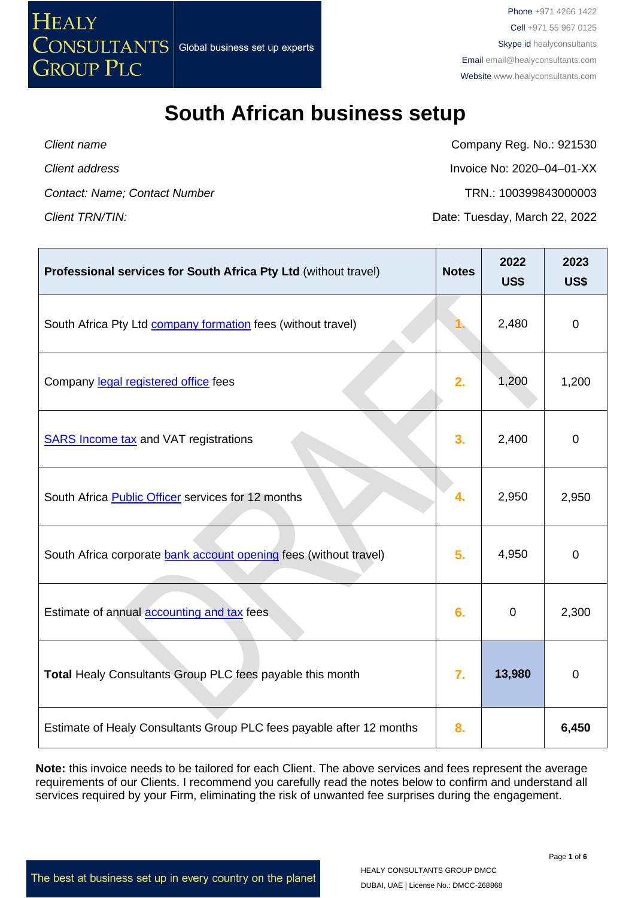

**Client name** Client name Company Reg. No.: 921530 *Client address* Invoice No: 2020–04–01-XX *Contact: Name; Contact Number* TRN.: 100399843000003 *Client TRN/TIN:* Date: Tuesday, March 22, 2022

| Professional services for South Africa Pty Ltd (without travel)      | <b>Notes</b> | 2022<br><b>US\$</b> | 2023<br><b>US\$</b> |
|----------------------------------------------------------------------|--------------|---------------------|---------------------|
| South Africa Pty Ltd <b>company formation</b> fees (without travel)  |              | 2,480               | $\mathbf 0$         |
| Company legal registered office fees                                 | 2.           | 1,200               | 1,200               |
| <b>SARS Income tax and VAT registrations</b>                         | 3.           | 2,400               | $\mathbf 0$         |
| South Africa <b>Public Officer</b> services for 12 months            | 4.           | 2,950               | 2,950               |
| South Africa corporate bank account opening fees (without travel)    | 5.           | 4,950               | $\pmb{0}$           |
| Estimate of annual <b>accounting and tax</b> fees                    | 6.           | 0                   | 2,300               |
| Total Healy Consultants Group PLC fees payable this month            | 7.           | 13,980              | $\overline{0}$      |
| Estimate of Healy Consultants Group PLC fees payable after 12 months | 8.           |                     | 6,450               |

**Note:** this invoice needs to be tailored for each Client. The above services and fees represent the average requirements of our Clients. I recommend you carefully read the notes below to confirm and understand all services required by your Firm, eliminating the risk of unwanted fee surprises during the engagement.

The best at business set up in every country on the planet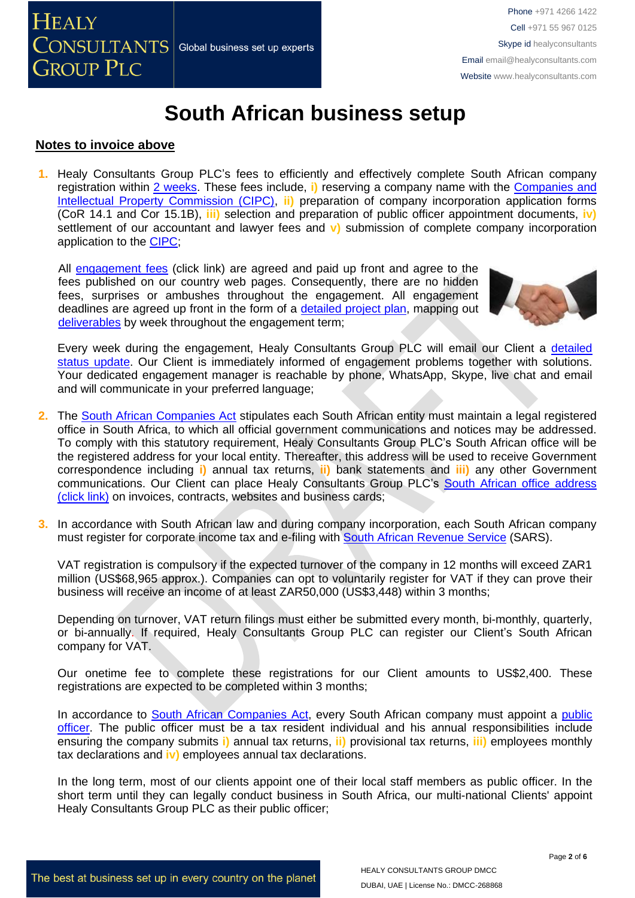

### **Notes to invoice above**

**1.** Healy Consultants Group PLC's fees to efficiently and effectively complete South African company registration within [2 weeks.](http://www.healyconsultants.com/south-africa-company-registration/fees-timelines/#timelines) These fees include, **i)** reserving a company name with the [Companies and](http://www.cipc.co.za/)  [Intellectual Property Commission \(CIPC\),](http://www.cipc.co.za/) **ii)** preparation of company incorporation application forms (CoR 14.1 and Cor 15.1B), **iii)** selection and preparation of public officer appointment documents, **iv)** settlement of our accountant and lawyer fees and **v)** submission of complete company incorporation application to the [CIPC;](http://www.cipc.co.za/)

All [engagement fees](http://www.healyconsultants.com/company-registration-fees/) (click link) are agreed and paid up front and agree to the fees published on our country web pages. Consequently, there are no hidden fees, surprises or ambushes throughout the engagement. All engagement deadlines are agreed up front in the form of a detailed [project plan,](https://www.healyconsultants.com/example-detailed-project-plan/) mapping out [deliverables](http://www.healyconsultants.com/deliverables-to-our-clients/) by week throughout the engagement term;



Every week during the engagement, Healy Consultants Group PLC will email our Client a [detailed](http://www.healyconsultants.com/index-important-links/weekly-engagement-status-email/)  [status update.](http://www.healyconsultants.com/index-important-links/weekly-engagement-status-email/) Our Client is immediately informed of engagement problems together with solutions. Your dedicated engagement manager is reachable by phone, WhatsApp, Skype, live chat and email and will communicate in your preferred language;

- **2.** The [South African Companies Act](https://www.gov.za/sites/default/files/gcis_document/201409/321214210.pdf) stipulates each South African entity must maintain a legal registered office in South Africa, to which all official government communications and notices may be addressed. To comply with this statutory requirement, Healy Consultants Group PLC's South African office will be the registered address for your local entity. Thereafter, this address will be used to receive Government correspondence including **i)** annual tax returns, **ii)** bank statements and **iii)** any other Government communications. Our Client can place Healy Consultants Group PLC's South African office address [\(click link\)](https://www.healyconsultants.com/contact-us-back/global-offices/) on invoices, contracts, websites and business cards;
- **3.** In accordance with South African law and during company incorporation, each South African company must register for corporate income tax and e-filing with **South African Revenue Service (SARS)**.

VAT registration is compulsory if the expected turnover of the company in 12 months will exceed ZAR1 million (US\$68,965 approx.). Companies can opt to voluntarily register for VAT if they can prove their business will receive an income of at least ZAR50,000 (US\$3,448) within 3 months;

Depending on turnover, VAT return filings must either be submitted every month, bi-monthly, quarterly, or bi-annually. If required, Healy Consultants Group PLC can register our Client's South African company for VAT.

Our onetime fee to complete these registrations for our Client amounts to US\$2,400. These registrations are expected to be completed within 3 months;

In accordance to [South African Companies Act,](https://www.gov.za/sites/default/files/gcis_document/201409/321214210.pdf) every South African company must appoint a [public](https://www.moore-southafrica.com/services/business-services/business-outsourcing/company-formation-secretarial/public-officer)  [officer.](https://www.moore-southafrica.com/services/business-services/business-outsourcing/company-formation-secretarial/public-officer) The public officer must be a tax resident individual and his annual responsibilities include ensuring the company submits **i)** annual tax returns, **ii)** provisional tax returns, **iii)** employees monthly tax declarations and **iv)** employees annual tax declarations.

In the long term, most of our clients appoint one of their local staff members as public officer. In the short term until they can legally conduct business in South Africa, our multi-national Clients' appoint Healy Consultants Group PLC as their public officer;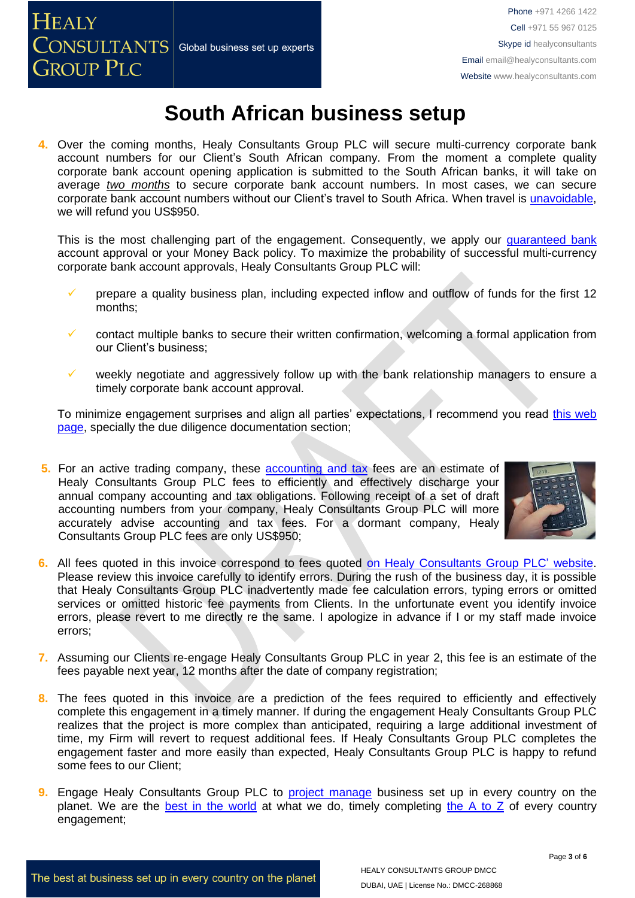**4.** Over the coming months, Healy Consultants Group PLC will secure multi-currency corporate bank account numbers for our Client's South African company. From the moment a complete quality corporate bank account opening application is submitted to the South African banks, it will take on average *two months* to secure corporate bank account numbers. In most cases, we can secure corporate bank account numbers without our Client's travel to South Africa. When travel is [unavoidable,](https://www.healyconsultants.com/international-banking/corporate-accounts/meet-bank-officer/) we will refund you US\$950.

This is the most challenging part of the engagement. Consequently, we apply our quaranteed bank account [approval or your Money Back](https://www.healyconsultants.com/corporate-banking-services/guaranteed-corporate-bank-account-approvals/) policy. To maximize the probability of successful multi-currency corporate bank account approvals, Healy Consultants Group PLC will:

- prepare a quality business plan, including expected inflow and outflow of funds for the first 12 months;
- contact multiple banks to secure their written confirmation, welcoming a formal application from our Client's business;
- weekly negotiate and aggressively follow up with the bank relationship managers to ensure a timely corporate bank account approval.

To minimize engagement surprises and align all parties' expectations, I recommend you read this web [page,](https://www.healyconsultants.com/multi-currency-corporate-bank-account/) specially the due diligence documentation section;

**5.** For an active trading company, these [accounting and tax](http://www.healyconsultants.com/south-africa-company-registration/accounting-legal/) fees are an estimate of Healy Consultants Group PLC fees to efficiently and effectively discharge your annual company accounting and tax obligations. Following receipt of a set of draft accounting numbers from your company, Healy Consultants Group PLC will more accurately advise accounting and tax fees. For a dormant company, Healy Consultants Group PLC fees are only US\$950;



- **6.** All fees quoted in this invoice correspond to fees quoted [on Healy Consultants Group PLC'](http://www.healyconsultants.com/company-registration-fees/) website. Please review this invoice carefully to identify errors. During the rush of the business day, it is possible that Healy Consultants Group PLC inadvertently made fee calculation errors, typing errors or omitted services or omitted historic fee payments from Clients. In the unfortunate event you identify invoice errors, please revert to me directly re the same. I apologize in advance if I or my staff made invoice errors;
- **7.** Assuming our Clients re-engage Healy Consultants Group PLC in year 2, this fee is an estimate of the fees payable next year, 12 months after the date of company registration;
- 8. The fees quoted in this invoice are a prediction of the fees required to efficiently and effectively complete this engagement in a timely manner. If during the engagement Healy Consultants Group PLC realizes that the project is more complex than anticipated, requiring a large additional investment of time, my Firm will revert to request additional fees. If Healy Consultants Group PLC completes the engagement faster and more easily than expected, Healy Consultants Group PLC is happy to refund some fees to our Client;
- **9.** Engage Healy Consultants Group PLC to [project manage](http://www.healyconsultants.com/project-manage-engagements/) business set up in every country on the planet. We are the [best in the world](http://www.healyconsultants.com/best-in-the-world/) at what we do, timely completing the A to  $Z$  of every country engagement;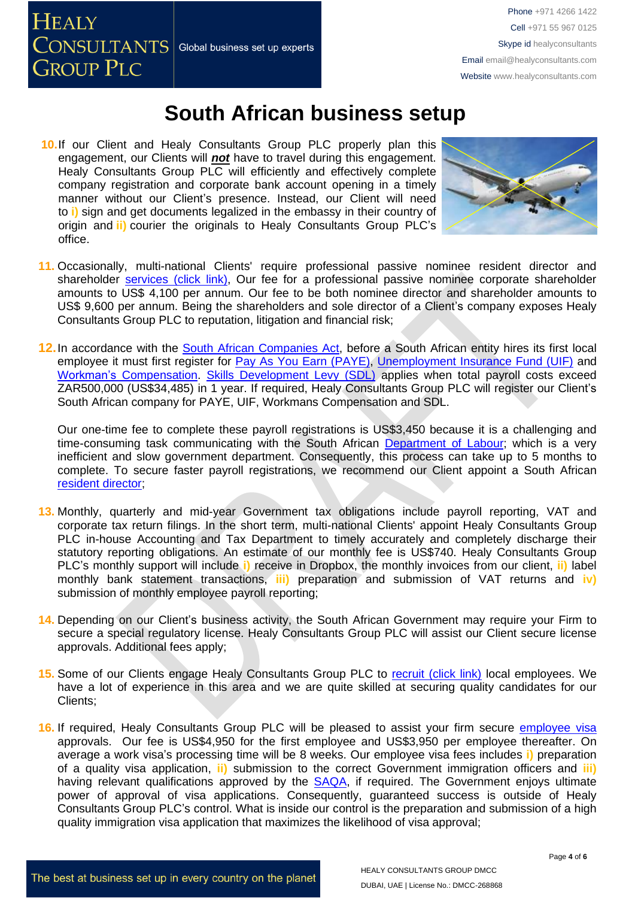**HEALY CONSULTANTS** Global business set up experts **GROUP PLC** 

## **South African business setup**

**10.**If our Client and Healy Consultants Group PLC properly plan this engagement, our Clients will *not* have to travel during this engagement. Healy Consultants Group PLC will efficiently and effectively complete company registration and corporate bank account opening in a timely manner without our Client's presence. Instead, our Client will need to **i)** sign and get documents legalized in the embassy in their country of origin and **ii)** courier the originals to Healy Consultants Group PLC's office.



- **11.** Occasionally, multi-national Clients' require professional passive nominee resident director and shareholder services (click link). Our fee for a professional passive nominee corporate shareholder amounts to US\$ 4,100 per annum. Our fee to be both nominee director and shareholder amounts to US\$ 9,600 per annum. Being the shareholders and sole director of a Client's company exposes Healy Consultants Group PLC to reputation, litigation and financial risk;
- **12.**In accordance with the [South African Companies Act,](https://www.gov.za/sites/default/files/gcis_document/201409/321214210.pdf) before a South African entity hires its first local employee it must first register for [Pay As You Earn \(PAYE\),](https://www.sars.gov.za/types-of-tax/pay-as-you-earn/) [Unemployment Insurance Fund \(UIF\)](https://www.sars.gov.za/types-of-tax/unemployment-insurance-fund/) and [Workman's Compensation.](http://www.treasury.gov.za/publications/other/ssrr/Session%20One%20Papers/Compensation%20Fund%20Project%202nd%20draft.pdf) [Skills Development Levy \(SDL\)](https://www.sars.gov.za/types-of-tax/skills-development-levy/#:~:text=What%20is%20SDL%3F,and%20improve%20skills%20of%20employees.) applies when total payroll costs exceed ZAR500,000 (US\$34,485) in 1 year. If required, Healy Consultants Group PLC will register our Client's South African company for PAYE, UIF, Workmans Compensation and SDL.

Our one-time fee to complete these payroll registrations is US\$3,450 because it is a challenging and time-consuming task communicating with the South African [Department of Labour;](https://www.labour.gov.za/) which is a very inefficient and slow government department. Consequently, this process can take up to 5 months to complete. To secure faster payroll registrations, we recommend our Client appoint a South African [resident director;](https://www.healyconsultants.com/corporate-advisory-services/nominee-shareholders-directors/resident-director-services/)

- **13.** Monthly, quarterly and mid-year Government tax obligations include payroll reporting, VAT and corporate tax return filings. In the short term, multi-national Clients' appoint Healy Consultants Group PLC in-house Accounting and Tax Department to timely accurately and completely discharge their statutory reporting obligations. An estimate of our monthly fee is US\$740. Healy Consultants Group PLC's monthly support will include **i)** receive in Dropbox, the monthly invoices from our client, **ii)** label monthly bank statement transactions, **iii)** preparation and submission of VAT returns and **iv)** submission of monthly employee payroll reporting;
- **14.** Depending on our Client's business activity, the South African Government may require your Firm to secure a special regulatory license. Healy Consultants Group PLC will assist our Client secure license approvals. Additional fees apply;
- 15. Some of our Clients engage Healy Consultants Group PLC to [recruit \(click link\)](http://www.healyconsultants.com/corporate-outsourcing-services/how-we-help-our-clients-recruit-quality-employees/) local employees. We have a lot of experience in this area and we are quite skilled at securing quality candidates for our Clients;
- **16.** If required, Healy Consultants Group PLC will be pleased to assist your firm secure [employee visa](http://www.healyconsultants.com/south-africa-company-registration/employment-visas/) approvals. Our fee is US\$4,950 for the first employee and US\$3,950 per employee thereafter. On average a work visa's processing time will be 8 weeks. Our employee visa fees includes **i)** preparation of a quality visa application, **ii)** submission to the correct Government immigration officers and **iii)** having relevant qualifications approved by the **SAQA**, if required. The Government enjoys ultimate power of approval of visa applications. Consequently, guaranteed success is outside of Healy Consultants Group PLC's control. What is inside our control is the preparation and submission of a high quality immigration visa application that maximizes the likelihood of visa approval;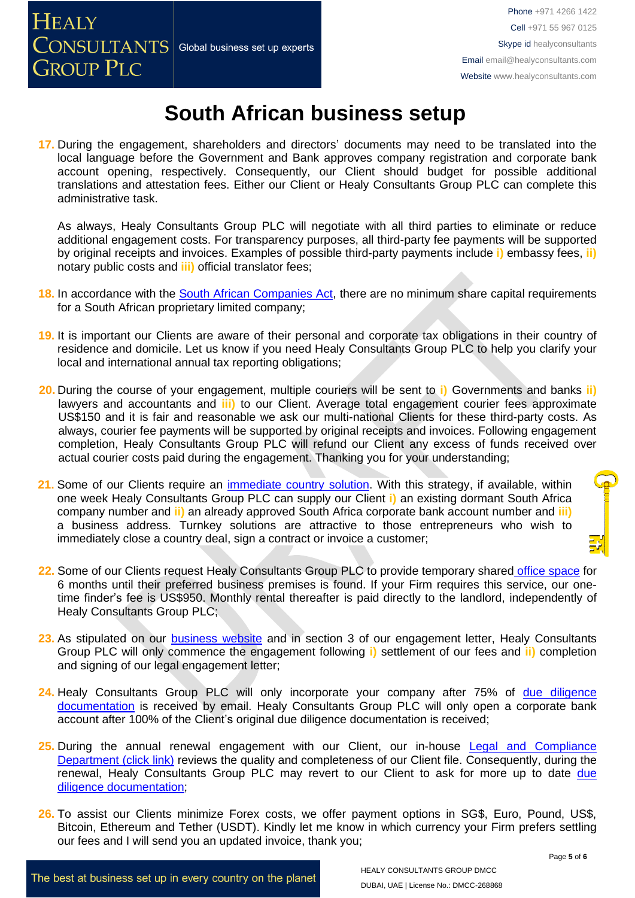**17.** During the engagement, shareholders and directors' documents may need to be translated into the local language before the Government and Bank approves company registration and corporate bank account opening, respectively. Consequently, our Client should budget for possible additional translations and attestation fees. Either our Client or Healy Consultants Group PLC can complete this administrative task.

As always, Healy Consultants Group PLC will negotiate with all third parties to eliminate or reduce additional engagement costs. For transparency purposes, all third-party fee payments will be supported by original receipts and invoices. Examples of possible third-party payments include **i)** embassy fees, **ii)** notary public costs and **iii)** official translator fees;

- 18. In accordance with the **South African Companies Act**, there are no minimum share capital requirements for a South African proprietary limited company;
- **19.** It is important our Clients are aware of their personal and corporate tax obligations in their country of residence and domicile. Let us know if you need Healy Consultants Group PLC to help you clarify your local and international annual tax reporting obligations;
- **20.** During the course of your engagement, multiple couriers will be sent to **i)** Governments and banks **ii)**  lawyers and accountants and **iii)** to our Client. Average total engagement courier fees approximate US\$150 and it is fair and reasonable we ask our multi-national Clients for these third-party costs. As always, courier fee payments will be supported by original receipts and invoices. Following engagement completion, Healy Consultants Group PLC will refund our Client any excess of funds received over actual courier costs paid during the engagement. Thanking you for your understanding;
- **21.** Some of our Clients require an [immediate country](http://www.healyconsultants.com/turnkey-solutions/) solution. With this strategy, if available, within one week Healy Consultants Group PLC can supply our Client **i)** an existing dormant South Africa company number and **ii)** an already approved South Africa corporate bank account number and **iii)** a business address. Turnkey solutions are attractive to those entrepreneurs who wish to immediately close a country deal, sign a contract or invoice a customer;
- **22.** Some of our Clients request Healy Consultants Group PLC to provide temporary shared office [space](http://www.healyconsultants.com/virtual-office/) for 6 months until their preferred business premises is found. If your Firm requires this service, our onetime finder's fee is US\$950. Monthly rental thereafter is paid directly to the landlord, independently of Healy Consultants Group PLC;
- **23.** As stipulated on our [business website](https://www.healyconsultants.com/company-formation/formally-engage-healy-consultants/) and in section 3 of our engagement letter, Healy Consultants Group PLC will only commence the engagement following **i)** settlement of our fees and **ii)** completion and signing of our legal engagement letter;
- **24.** Healy Consultants Group PLC will only incorporate your company after 75% of [due diligence](http://www.healyconsultants.com/due-diligence/)  [documentation](http://www.healyconsultants.com/due-diligence/) is received by email. Healy Consultants Group PLC will only open a corporate bank account after 100% of the Client's original due diligence documentation is received;
- 25. During the annual renewal engagement with our Client, our in-house Legal and Compliance [Department \(click link\)](https://www.healyconsultants.com/about-us/key-personnel/) reviews the quality and completeness of our Client file. Consequently, during the renewal, Healy Consultants Group PLC may revert to our Client to ask for more up to date due [diligence documentation;](http://www.healyconsultants.com/due-diligence/)
- **26.** To assist our Clients minimize Forex costs, we offer payment options in SG\$, Euro, Pound, US\$, Bitcoin, Ethereum and Tether (USDT). Kindly let me know in which currency your Firm prefers settling our fees and I will send you an updated invoice, thank you;